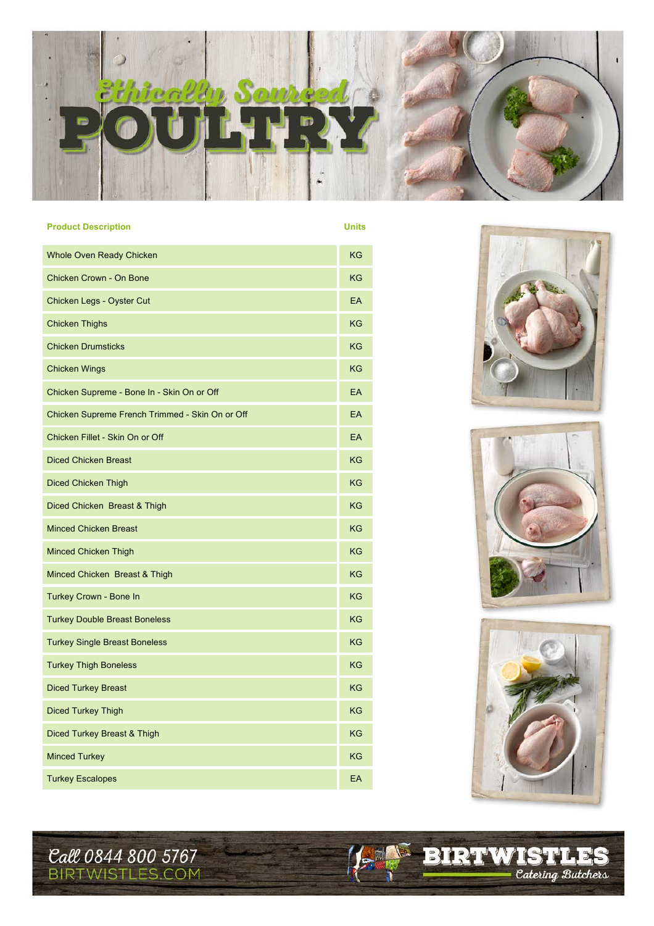

| <b>Product Description</b>                      | <b>Units</b> |
|-------------------------------------------------|--------------|
| <b>Whole Oven Ready Chicken</b>                 | <b>KG</b>    |
| Chicken Crown - On Bone                         | <b>KG</b>    |
| Chicken Legs - Oyster Cut                       | EA           |
| <b>Chicken Thighs</b>                           | <b>KG</b>    |
| <b>Chicken Drumsticks</b>                       | <b>KG</b>    |
| <b>Chicken Wings</b>                            | <b>KG</b>    |
| Chicken Supreme - Bone In - Skin On or Off      | EA           |
| Chicken Supreme French Trimmed - Skin On or Off | EA           |
| Chicken Fillet - Skin On or Off                 | EA           |
| <b>Diced Chicken Breast</b>                     | <b>KG</b>    |
| <b>Diced Chicken Thigh</b>                      | <b>KG</b>    |
| Diced Chicken Breast & Thigh                    | <b>KG</b>    |
| <b>Minced Chicken Breast</b>                    | <b>KG</b>    |
| <b>Minced Chicken Thigh</b>                     | <b>KG</b>    |
| Minced Chicken Breast & Thigh                   | KG           |
| Turkey Crown - Bone In                          | <b>KG</b>    |
| <b>Turkey Double Breast Boneless</b>            | KG           |
| <b>Turkey Single Breast Boneless</b>            | KG           |
| <b>Turkey Thigh Boneless</b>                    | KG           |
| <b>Diced Turkey Breast</b>                      | <b>KG</b>    |
| <b>Diced Turkey Thigh</b>                       | KG           |
| Diced Turkey Breast & Thigh                     | <b>KG</b>    |
| <b>Minced Turkey</b>                            | <b>KG</b>    |
| <b>Turkey Escalopes</b>                         | EA           |







**EXPRIMISTLES** 

**Call 0844 800 5767**<br>BIRTWISTLES.COM